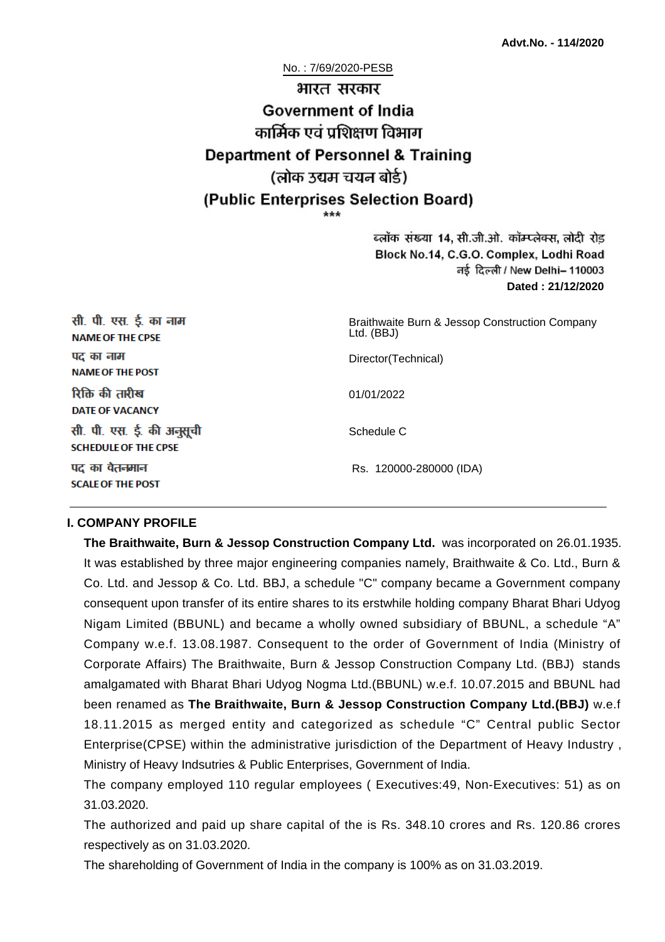No. : 7/69/2020-PESB

# भारत सरकार **Government of India** कार्मिक एवं पशिक्षण विभाग **Department of Personnel & Training** (लोक उद्यम चयन बोर्ड) (Public Enterprises Selection Board)

ब्लॉक संख्या 14, सी.जी.ओ. कॉम्प्लेक्स, लोदी रोड Block No.14, C.G.O. Complex, Lodhi Road ਰई दिल्ली / New Delhi– 110003 **Dated : 21/12/2020**

| सी. पी. एस. ई. का नाम<br><b>NAME OF THE CPSE</b>         | Braithwaite Burn & Jessop Construction Company<br>Ltd. (BBJ) |
|----------------------------------------------------------|--------------------------------------------------------------|
| पद का नाम<br><b>NAME OF THE POST</b>                     | Director(Technical)                                          |
| रिक्ति की तारीख<br><b>DATE OF VACANCY</b>                | 01/01/2022                                                   |
| सी. पी. एस. ई. की अनुसूची<br><b>SCHEDULE OF THE CPSE</b> | Schedule C                                                   |
| पद का वेतनमान<br><b>SCALE OF THE POST</b>                | Rs. 120000-280000 (IDA)                                      |

#### **I. COMPANY PROFILE**

**The Braithwaite, Burn & Jessop Construction Company Ltd.** was incorporated on 26.01.1935. It was established by three major engineering companies namely, Braithwaite & Co. Ltd., Burn & Co. Ltd. and Jessop & Co. Ltd. BBJ, a schedule "C" company became a Government company consequent upon transfer of its entire shares to its erstwhile holding company Bharat Bhari Udyog Nigam Limited (BBUNL) and became a wholly owned subsidiary of BBUNL, a schedule "A" Company w.e.f. 13.08.1987. Consequent to the order of Government of India (Ministry of Corporate Affairs) The Braithwaite, Burn & Jessop Construction Company Ltd. (BBJ) stands amalgamated with Bharat Bhari Udyog Nogma Ltd.(BBUNL) w.e.f. 10.07.2015 and BBUNL had been renamed as **The Braithwaite, Burn & Jessop Construction Company Ltd.(BBJ)** w.e.f 18.11.2015 as merged entity and categorized as schedule "C" Central public Sector Enterprise(CPSE) within the administrative jurisdiction of the Department of Heavy Industry , Ministry of Heavy Indsutries & Public Enterprises, Government of India.

The company employed 110 regular employees ( Executives:49, Non-Executives: 51) as on 31.03.2020.

The authorized and paid up share capital of the is Rs. 348.10 crores and Rs. 120.86 crores respectively as on 31.03.2020.

The shareholding of Government of India in the company is 100% as on 31.03.2019.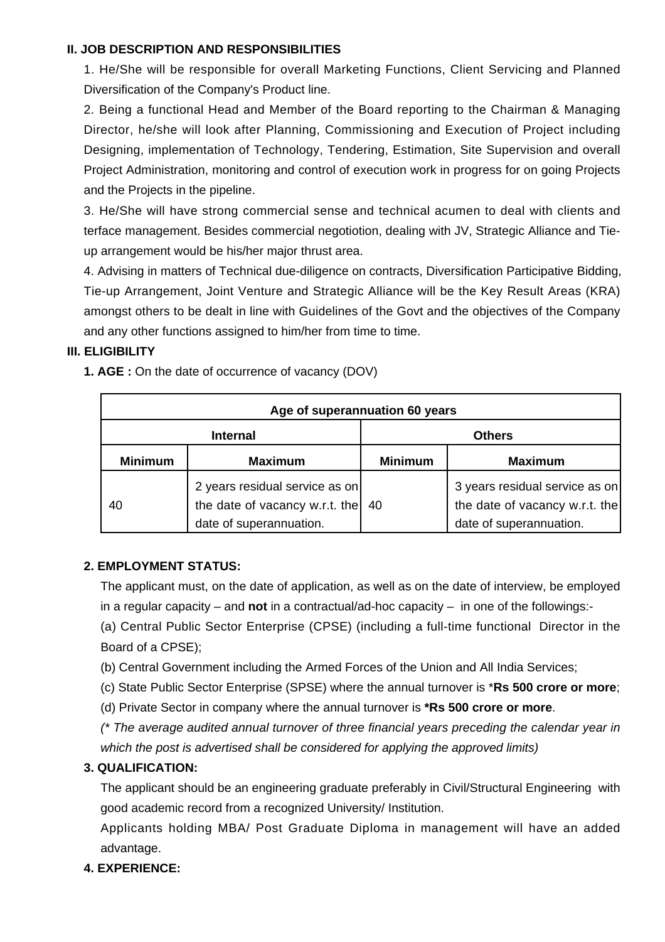#### **II. JOB DESCRIPTION AND RESPONSIBILITIES**

1. He/She will be responsible for overall Marketing Functions, Client Servicing and Planned Diversification of the Company's Product line.

2. Being a functional Head and Member of the Board reporting to the Chairman & Managing Director, he/she will look after Planning, Commissioning and Execution of Project including Designing, implementation of Technology, Tendering, Estimation, Site Supervision and overall Project Administration, monitoring and control of execution work in progress for on going Projects and the Projects in the pipeline.

3. He/She will have strong commercial sense and technical acumen to deal with clients and terface management. Besides commercial negotiotion, dealing with JV, Strategic Alliance and Tieup arrangement would be his/her major thrust area.

4. Advising in matters of Technical due-diligence on contracts, Diversification Participative Bidding, Tie-up Arrangement, Joint Venture and Strategic Alliance will be the Key Result Areas (KRA) amongst others to be dealt in line with Guidelines of the Govt and the objectives of the Company and any other functions assigned to him/her from time to time.

#### **III. ELIGIBILITY**

**1. AGE :** On the date of occurrence of vacancy (DOV)

| Age of superannuation 60 years |                                                                                             |                |                                                                                             |  |
|--------------------------------|---------------------------------------------------------------------------------------------|----------------|---------------------------------------------------------------------------------------------|--|
| <b>Internal</b>                |                                                                                             | <b>Others</b>  |                                                                                             |  |
| <b>Minimum</b>                 | <b>Maximum</b>                                                                              | <b>Minimum</b> | <b>Maximum</b>                                                                              |  |
| 40                             | 2 years residual service as on<br>the date of vacancy w.r.t. the<br>date of superannuation. | -40            | 3 years residual service as on<br>the date of vacancy w.r.t. the<br>date of superannuation. |  |

#### **2. EMPLOYMENT STATUS:**

The applicant must, on the date of application, as well as on the date of interview, be employed in a regular capacity – and **not** in a contractual/ad-hoc capacity – in one of the followings:-

(a) Central Public Sector Enterprise (CPSE) (including a full-time functional Director in the Board of a CPSE);

- (b) Central Government including the Armed Forces of the Union and All India Services;
- (c) State Public Sector Enterprise (SPSE) where the annual turnover is \***Rs 500 crore or more**;
- (d) Private Sector in company where the annual turnover is **\*Rs 500 crore or more**.

(\* The average audited annual turnover of three financial years preceding the calendar year in which the post is advertised shall be considered for applying the approved limits)

#### **3. QUALIFICATION:**

The applicant should be an engineering graduate preferably in Civil/Structural Engineering with good academic record from a recognized University/ Institution.

Applicants holding MBA/ Post Graduate Diploma in management will have an added advantage.

#### **4. EXPERIENCE:**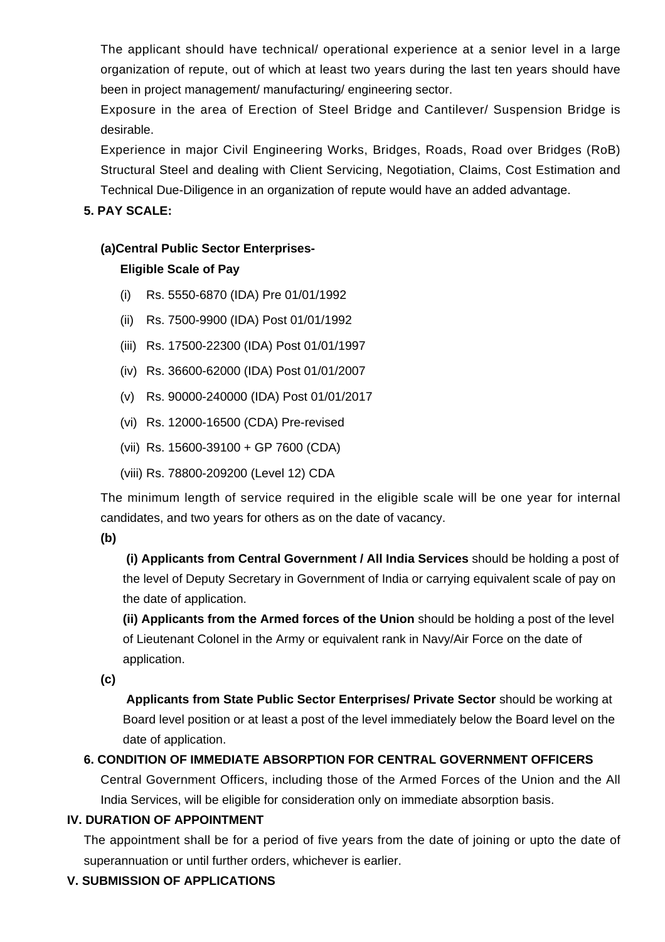The applicant should have technical/ operational experience at a senior level in a large organization of repute, out of which at least two years during the last ten years should have been in project management/ manufacturing/ engineering sector.

Exposure in the area of Erection of Steel Bridge and Cantilever/ Suspension Bridge is desirable.

Experience in major Civil Engineering Works, Bridges, Roads, Road over Bridges (RoB) Structural Steel and dealing with Client Servicing, Negotiation, Claims, Cost Estimation and Technical Due-Diligence in an organization of repute would have an added advantage.

#### **5. PAY SCALE:**

# **(a)Central Public Sector Enterprises-**

## **Eligible Scale of Pay**

- (i) Rs. 5550-6870 (IDA) Pre 01/01/1992
- (ii) Rs. 7500-9900 (IDA) Post 01/01/1992
- (iii) Rs. 17500-22300 (IDA) Post 01/01/1997
- (iv) Rs. 36600-62000 (IDA) Post 01/01/2007
- (v) Rs. 90000-240000 (IDA) Post 01/01/2017
- (vi) Rs. 12000-16500 (CDA) Pre-revised
- (vii) Rs. 15600-39100 + GP 7600 (CDA)
- (viii) Rs. 78800-209200 (Level 12) CDA

The minimum length of service required in the eligible scale will be one year for internal candidates, and two years for others as on the date of vacancy.

#### **(b)**

**(i) Applicants from Central Government / All India Services** should be holding a post of the level of Deputy Secretary in Government of India or carrying equivalent scale of pay on the date of application.

**(ii) Applicants from the Armed forces of the Union** should be holding a post of the level of Lieutenant Colonel in the Army or equivalent rank in Navy/Air Force on the date of application.

**(c)**

 **Applicants from State Public Sector Enterprises/ Private Sector** should be working at Board level position or at least a post of the level immediately below the Board level on the date of application.

# **6. CONDITION OF IMMEDIATE ABSORPTION FOR CENTRAL GOVERNMENT OFFICERS**

Central Government Officers, including those of the Armed Forces of the Union and the All India Services, will be eligible for consideration only on immediate absorption basis.

#### **IV. DURATION OF APPOINTMENT**

The appointment shall be for a period of five years from the date of joining or upto the date of superannuation or until further orders, whichever is earlier.

# **V. SUBMISSION OF APPLICATIONS**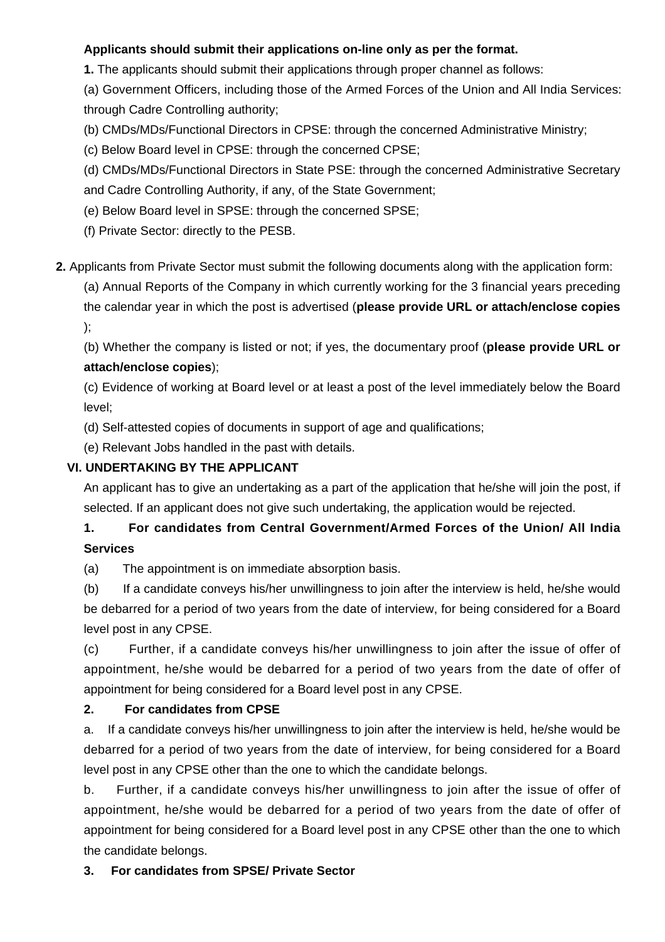## **Applicants should submit their applications on-line only as per the format.**

**1.** The applicants should submit their applications through proper channel as follows:

(a) Government Officers, including those of the Armed Forces of the Union and All India Services: through Cadre Controlling authority;

(b) CMDs/MDs/Functional Directors in CPSE: through the concerned Administrative Ministry;

(c) Below Board level in CPSE: through the concerned CPSE;

(d) CMDs/MDs/Functional Directors in State PSE: through the concerned Administrative Secretary and Cadre Controlling Authority, if any, of the State Government;

(e) Below Board level in SPSE: through the concerned SPSE;

(f) Private Sector: directly to the PESB.

**2.** Applicants from Private Sector must submit the following documents along with the application form:

(a) Annual Reports of the Company in which currently working for the 3 financial years preceding the calendar year in which the post is advertised (**please provide URL or attach/enclose copies** );

(b) Whether the company is listed or not; if yes, the documentary proof (**please provide URL or attach/enclose copies**);

(c) Evidence of working at Board level or at least a post of the level immediately below the Board level;

(d) Self-attested copies of documents in support of age and qualifications;

(e) Relevant Jobs handled in the past with details.

### **VI. UNDERTAKING BY THE APPLICANT**

An applicant has to give an undertaking as a part of the application that he/she will join the post, if selected. If an applicant does not give such undertaking, the application would be rejected.

# **1. For candidates from Central Government/Armed Forces of the Union/ All India Services**

(a) The appointment is on immediate absorption basis.

(b) If a candidate conveys his/her unwillingness to join after the interview is held, he/she would be debarred for a period of two years from the date of interview, for being considered for a Board level post in any CPSE.

(c) Further, if a candidate conveys his/her unwillingness to join after the issue of offer of appointment, he/she would be debarred for a period of two years from the date of offer of appointment for being considered for a Board level post in any CPSE.

#### **2. For candidates from CPSE**

a. If a candidate conveys his/her unwillingness to join after the interview is held, he/she would be debarred for a period of two years from the date of interview, for being considered for a Board level post in any CPSE other than the one to which the candidate belongs.

b. Further, if a candidate conveys his/her unwillingness to join after the issue of offer of appointment, he/she would be debarred for a period of two years from the date of offer of appointment for being considered for a Board level post in any CPSE other than the one to which the candidate belongs.

# **3. For candidates from SPSE/ Private Sector**